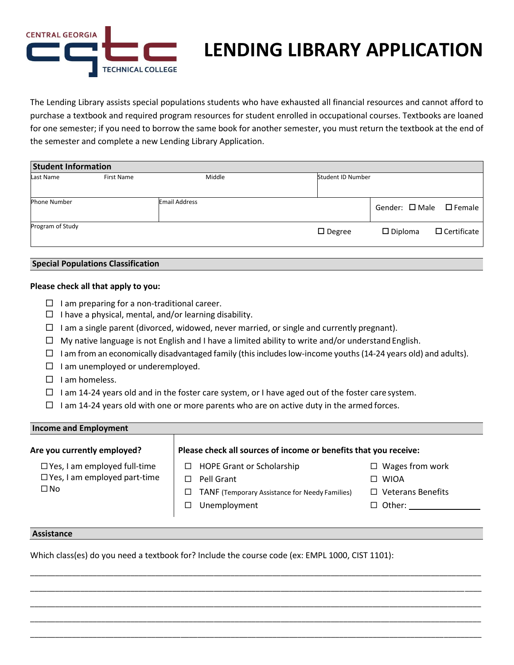

# **LENDING LIBRARY APPLICATION**

The Lending Library assists special populations students who have exhausted all financial resources and cannot afford to purchase a textbook and required program resources for student enrolled in occupational courses. Textbooks are loaned for one semester; if you need to borrow the same book for another semester, you must return the textbook at the end of the semester and complete a new Lending Library Application.

| <b>Student Information</b> |                   |                      |                   |                                         |                    |
|----------------------------|-------------------|----------------------|-------------------|-----------------------------------------|--------------------|
| Last Name                  | <b>First Name</b> | Middle               | Student ID Number |                                         |                    |
|                            |                   |                      |                   |                                         |                    |
| <b>Phone Number</b>        |                   | <b>Email Address</b> |                   | Gender: $\square$ Male $\square$ Female |                    |
| Program of Study           |                   |                      | $\square$ Degree  | $\square$ Diploma                       | $\Box$ Certificate |

### **Special Populations Classification**

### **Please check all that apply to you:**

- $\Box$  I am preparing for a non-traditional career.
- $\Box$  I have a physical, mental, and/or learning disability.
- $\Box$  I am a single parent (divorced, widowed, never married, or single and currently pregnant).
- $\Box$  My native language is not English and I have a limited ability to write and/or understand English.
- $\Box$  I am from an economically disadvantaged family (this includes low-income youths (14-24 years old) and adults).
- $\Box$  I am unemployed or underemployed.
- $\Box$  I am homeless.
- $\Box$  I am 14-24 years old and in the foster care system, or I have aged out of the foster care system.
- $\Box$  I am 14-24 years old with one or more parents who are on active duty in the armed forces.

### **Income and Employment**

### **Are you currently employed? Please check all sources of income or benefits that you receive:**

Yes, I am employed full-time

Yes, I am employed part-time

 $\square$  No

□ HOPE Grant or Scholarship □ Pell Grant

 $\Box$  TANF (Temporary Assistance for Needy Families)

\_\_\_\_\_\_\_\_\_\_\_\_\_\_\_\_\_\_\_\_\_\_\_\_\_\_\_\_\_\_\_\_\_\_\_\_\_\_\_\_\_\_\_\_\_\_\_\_\_\_\_\_\_\_\_\_\_\_\_\_\_\_\_\_\_\_\_\_\_\_\_\_\_\_\_\_\_\_\_\_\_\_\_\_\_\_\_\_\_\_\_\_\_\_\_\_\_\_\_\_\_\_\_\_\_\_\_\_ \_\_\_\_\_\_\_\_\_\_\_\_\_\_\_\_\_\_\_\_\_\_\_\_\_\_\_\_\_\_\_\_\_\_\_\_\_\_\_\_\_\_\_\_\_\_\_\_\_\_\_\_\_\_\_\_\_\_\_\_\_\_\_\_\_\_\_\_\_\_\_\_\_\_\_\_\_\_\_\_\_\_\_\_\_\_\_\_\_\_\_\_\_\_\_\_\_\_\_\_\_\_\_\_\_\_\_\_ \_\_\_\_\_\_\_\_\_\_\_\_\_\_\_\_\_\_\_\_\_\_\_\_\_\_\_\_\_\_\_\_\_\_\_\_\_\_\_\_\_\_\_\_\_\_\_\_\_\_\_\_\_\_\_\_\_\_\_\_\_\_\_\_\_\_\_\_\_\_\_\_\_\_\_\_\_\_\_\_\_\_\_\_\_\_\_\_\_\_\_\_\_\_\_\_\_\_\_\_\_\_\_\_\_\_\_\_ \_\_\_\_\_\_\_\_\_\_\_\_\_\_\_\_\_\_\_\_\_\_\_\_\_\_\_\_\_\_\_\_\_\_\_\_\_\_\_\_\_\_\_\_\_\_\_\_\_\_\_\_\_\_\_\_\_\_\_\_\_\_\_\_\_\_\_\_\_\_\_\_\_\_\_\_\_\_\_\_\_\_\_\_\_\_\_\_\_\_\_\_\_\_\_\_\_\_\_\_\_\_\_\_\_\_\_\_ \_\_\_\_\_\_\_\_\_\_\_\_\_\_\_\_\_\_\_\_\_\_\_\_\_\_\_\_\_\_\_\_\_\_\_\_\_\_\_\_\_\_\_\_\_\_\_\_\_\_\_\_\_\_\_\_\_\_\_\_\_\_\_\_\_\_\_\_\_\_\_\_\_\_\_\_\_\_\_\_\_\_\_\_\_\_\_\_\_\_\_\_\_\_\_\_\_\_\_\_\_\_\_\_\_\_\_\_

- WIOA
- □ Veterans Benefits

□ Wages from work

□ Other:

#### **Assistance**

Which class(es) do you need a textbook for? Include the course code (ex: EMPL 1000, CIST 1101):

□ Unemployment